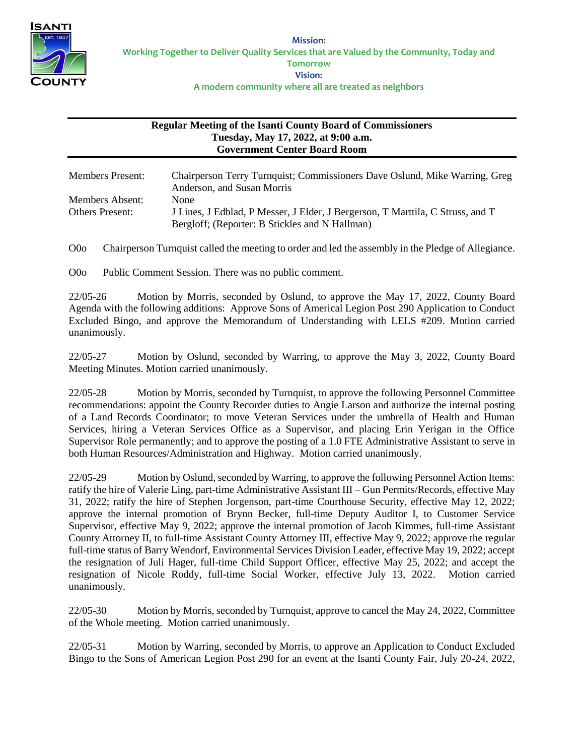

## **Regular Meeting of the Isanti County Board of Commissioners Tuesday, May 17, 2022, at 9:00 a.m. Government Center Board Room**

| <b>Members Present:</b>                   | Chairperson Terry Turnquist; Commissioners Dave Oslund, Mike Warring, Greg<br>Anderson, and Susan Morris                                        |
|-------------------------------------------|-------------------------------------------------------------------------------------------------------------------------------------------------|
| Members Absent:<br><b>Others Present:</b> | <b>None</b><br>J Lines, J Edblad, P Messer, J Elder, J Bergerson, T Marttila, C Struss, and T<br>Bergloff; (Reporter: B Stickles and N Hallman) |

O0o Chairperson Turnquist called the meeting to order and led the assembly in the Pledge of Allegiance.

O0o Public Comment Session. There was no public comment.

22/05-26 Motion by Morris, seconded by Oslund, to approve the May 17, 2022, County Board Agenda with the following additions: Approve Sons of Americal Legion Post 290 Application to Conduct Excluded Bingo, and approve the Memorandum of Understanding with LELS #209. Motion carried unanimously.

22/05-27 Motion by Oslund, seconded by Warring, to approve the May 3, 2022, County Board Meeting Minutes. Motion carried unanimously.

22/05-28 Motion by Morris, seconded by Turnquist, to approve the following Personnel Committee recommendations: appoint the County Recorder duties to Angie Larson and authorize the internal posting of a Land Records Coordinator; to move Veteran Services under the umbrella of Health and Human Services, hiring a Veteran Services Office as a Supervisor, and placing Erin Yerigan in the Office Supervisor Role permanently; and to approve the posting of a 1.0 FTE Administrative Assistant to serve in both Human Resources/Administration and Highway. Motion carried unanimously.

22/05-29 Motion by Oslund, seconded by Warring, to approve the following Personnel Action Items: ratify the hire of Valerie Ling, part-time Administrative Assistant III – Gun Permits/Records, effective May 31, 2022; ratify the hire of Stephen Jorgenson, part-time Courthouse Security, effective May 12, 2022; approve the internal promotion of Brynn Becker, full-time Deputy Auditor I, to Customer Service Supervisor, effective May 9, 2022; approve the internal promotion of Jacob Kimmes, full-time Assistant County Attorney II, to full-time Assistant County Attorney III, effective May 9, 2022; approve the regular full-time status of Barry Wendorf, Environmental Services Division Leader, effective May 19, 2022; accept the resignation of Juli Hager, full-time Child Support Officer, effective May 25, 2022; and accept the resignation of Nicole Roddy, full-time Social Worker, effective July 13, 2022. Motion carried unanimously.

22/05-30 Motion by Morris, seconded by Turnquist, approve to cancel the May 24, 2022, Committee of the Whole meeting. Motion carried unanimously.

22/05-31 Motion by Warring, seconded by Morris, to approve an Application to Conduct Excluded Bingo to the Sons of American Legion Post 290 for an event at the Isanti County Fair, July 20-24, 2022,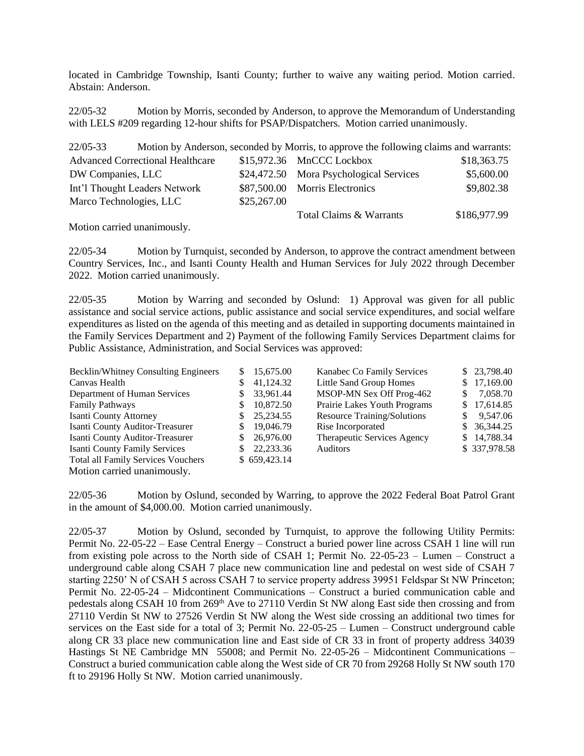located in Cambridge Township, Isanti County; further to waive any waiting period. Motion carried. Abstain: Anderson.

22/05-32 Motion by Morris, seconded by Anderson, to approve the Memorandum of Understanding with LELS #209 regarding 12-hour shifts for PSAP/Dispatchers. Motion carried unanimously.

| $22/05 - 33$                            |  |             | Motion by Anderson, seconded by Morris, to approve the following claims and warrants: |              |
|-----------------------------------------|--|-------------|---------------------------------------------------------------------------------------|--------------|
| <b>Advanced Correctional Healthcare</b> |  |             | \$15,972.36 MnCCC Lockbox                                                             | \$18,363.75  |
| DW Companies, LLC                       |  |             | \$24,472.50 Mora Psychological Services                                               | \$5,600.00   |
| Int'l Thought Leaders Network           |  |             | \$87,500.00 Morris Electronics                                                        | \$9,802.38   |
| Marco Technologies, LLC                 |  | \$25,267.00 |                                                                                       |              |
|                                         |  |             | Total Claims & Warrants                                                               | \$186,977.99 |
|                                         |  |             |                                                                                       |              |

Motion carried unanimously.

22/05-34 Motion by Turnquist, seconded by Anderson, to approve the contract amendment between Country Services, Inc., and Isanti County Health and Human Services for July 2022 through December 2022. Motion carried unanimously.

22/05-35 Motion by Warring and seconded by Oslund: 1) Approval was given for all public assistance and social service actions, public assistance and social service expenditures, and social welfare expenditures as listed on the agenda of this meeting and as detailed in supporting documents maintained in the Family Services Department and 2) Payment of the following Family Services Department claims for Public Assistance, Administration, and Social Services was approved:

| Becklin/Whitney Consulting Engineers      |              | \$15,675.00  | Kanabec Co Family Services         |     | \$23,798.40  |
|-------------------------------------------|--------------|--------------|------------------------------------|-----|--------------|
| Canvas Health                             |              | 41,124.32    | Little Sand Group Homes            | S.  | 17,169.00    |
| Department of Human Services              |              | 33,961.44    | MSOP-MN Sex Off Prog-462           | \$. | 7,058.70     |
| Family Pathways                           |              | 10,872.50    | Prairie Lakes Youth Programs       | S.  | 17,614.85    |
| Isanti County Attorney                    | S.           | 25,234.55    | <b>Resource Training/Solutions</b> | S.  | 9,547.06     |
| Isanti County Auditor-Treasurer           | <sup>S</sup> | 19,046.79    | Rise Incorporated                  |     | \$36,344.25  |
| Isanti County Auditor-Treasurer           | S.           | 26,976.00    | Therapeutic Services Agency        |     | \$14,788.34  |
| <b>Isanti County Family Services</b>      |              | 22,233.36    | <b>Auditors</b>                    |     | \$337,978.58 |
| <b>Total all Family Services Vouchers</b> |              | \$659,423.14 |                                    |     |              |
| Motion carried unanimously.               |              |              |                                    |     |              |

22/05-36 Motion by Oslund, seconded by Warring, to approve the 2022 Federal Boat Patrol Grant in the amount of \$4,000.00. Motion carried unanimously.

22/05-37 Motion by Oslund, seconded by Turnquist, to approve the following Utility Permits: Permit No. 22-05-22 – Ease Central Energy – Construct a buried power line across CSAH 1 line will run from existing pole across to the North side of CSAH 1; Permit No. 22-05-23 – Lumen – Construct a underground cable along CSAH 7 place new communication line and pedestal on west side of CSAH 7 starting 2250' N of CSAH 5 across CSAH 7 to service property address 39951 Feldspar St NW Princeton; Permit No. 22-05-24 – Midcontinent Communications – Construct a buried communication cable and pedestals along CSAH 10 from 269<sup>th</sup> Ave to 27110 Verdin St NW along East side then crossing and from 27110 Verdin St NW to 27526 Verdin St NW along the West side crossing an additional two times for services on the East side for a total of 3; Permit No. 22-05-25 – Lumen – Construct underground cable along CR 33 place new communication line and East side of CR 33 in front of property address 34039 Hastings St NE Cambridge MN 55008; and Permit No. 22-05-26 – Midcontinent Communications – Construct a buried communication cable along the West side of CR 70 from 29268 Holly St NW south 170 ft to 29196 Holly St NW. Motion carried unanimously.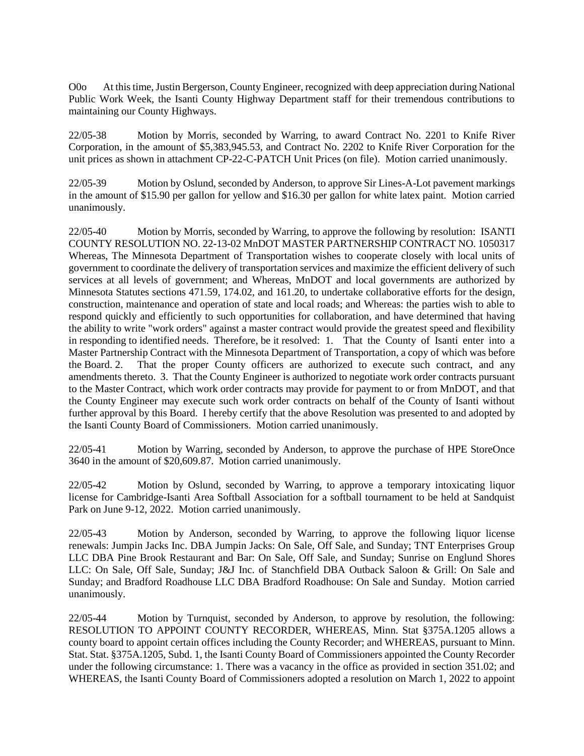O0o At this time, Justin Bergerson, County Engineer, recognized with deep appreciation during National Public Work Week, the Isanti County Highway Department staff for their tremendous contributions to maintaining our County Highways.

22/05-38 Motion by Morris, seconded by Warring, to award Contract No. 2201 to Knife River Corporation, in the amount of \$5,383,945.53, and Contract No. 2202 to Knife River Corporation for the unit prices as shown in attachment CP-22-C-PATCH Unit Prices (on file). Motion carried unanimously.

22/05-39 Motion by Oslund, seconded by Anderson, to approve Sir Lines-A-Lot pavement markings in the amount of \$15.90 per gallon for yellow and \$16.30 per gallon for white latex paint. Motion carried unanimously.

22/05-40 Motion by Morris, seconded by Warring, to approve the following by resolution: ISANTI COUNTY RESOLUTION NO. 22-13-02 MnDOT MASTER PARTNERSHIP CONTRACT NO. 1050317 Whereas, The Minnesota Department of Transportation wishes to cooperate closely with local units of government to coordinate the delivery of transportation services and maximize the efficient delivery of such services at all levels of government; and Whereas, MnDOT and local governments are authorized by Minnesota Statutes sections 471.59, 174.02, and 161.20, to undertake collaborative efforts for the design, construction, maintenance and operation of state and local roads; and Whereas: the parties wish to able to respond quickly and efficiently to such opportunities for collaboration, and have determined that having the ability to write "work orders" against a master contract would provide the greatest speed and flexibility in responding to identified needs. Therefore, be it resolved: 1. That the County of Isanti enter into a Master Partnership Contract with the Minnesota Department of Transportation, a copy of which was before the Board. 2. That the proper County officers are authorized to execute such contract, and any amendments thereto. 3. That the County Engineer is authorized to negotiate work order contracts pursuant to the Master Contract, which work order contracts may provide for payment to or from MnDOT, and that the County Engineer may execute such work order contracts on behalf of the County of Isanti without further approval by this Board. I hereby certify that the above Resolution was presented to and adopted by the Isanti County Board of Commissioners. Motion carried unanimously.

22/05-41 Motion by Warring, seconded by Anderson, to approve the purchase of HPE StoreOnce 3640 in the amount of \$20,609.87. Motion carried unanimously.

22/05-42 Motion by Oslund, seconded by Warring, to approve a temporary intoxicating liquor license for Cambridge-Isanti Area Softball Association for a softball tournament to be held at Sandquist Park on June 9-12, 2022. Motion carried unanimously.

22/05-43 Motion by Anderson, seconded by Warring, to approve the following liquor license renewals: Jumpin Jacks Inc. DBA Jumpin Jacks: On Sale, Off Sale, and Sunday; TNT Enterprises Group LLC DBA Pine Brook Restaurant and Bar: On Sale, Off Sale, and Sunday; Sunrise on Englund Shores LLC: On Sale, Off Sale, Sunday; J&J Inc. of Stanchfield DBA Outback Saloon & Grill: On Sale and Sunday; and Bradford Roadhouse LLC DBA Bradford Roadhouse: On Sale and Sunday. Motion carried unanimously.

22/05-44 Motion by Turnquist, seconded by Anderson, to approve by resolution, the following: RESOLUTION TO APPOINT COUNTY RECORDER, WHEREAS, Minn. Stat §375A.1205 allows a county board to appoint certain offices including the County Recorder; and WHEREAS, pursuant to Minn. Stat. Stat. §375A.1205, Subd. 1, the Isanti County Board of Commissioners appointed the County Recorder under the following circumstance: 1. There was a vacancy in the office as provided in section 351.02; and WHEREAS, the Isanti County Board of Commissioners adopted a resolution on March 1, 2022 to appoint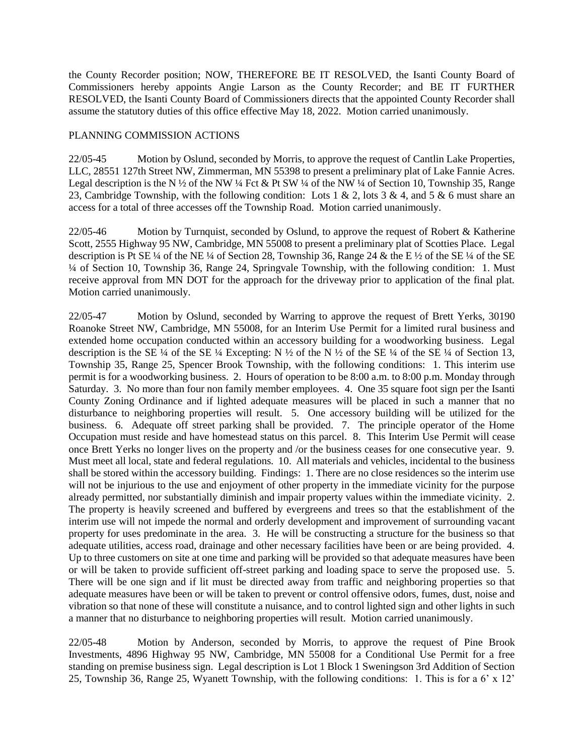the County Recorder position; NOW, THEREFORE BE IT RESOLVED, the Isanti County Board of Commissioners hereby appoints Angie Larson as the County Recorder; and BE IT FURTHER RESOLVED, the Isanti County Board of Commissioners directs that the appointed County Recorder shall assume the statutory duties of this office effective May 18, 2022. Motion carried unanimously.

## PLANNING COMMISSION ACTIONS

22/05-45 Motion by Oslund, seconded by Morris, to approve the request of Cantlin Lake Properties, LLC, 28551 127th Street NW, Zimmerman, MN 55398 to present a preliminary plat of Lake Fannie Acres. Legal description is the N  $\frac{1}{2}$  of the NW  $\frac{1}{4}$  Fct & Pt SW  $\frac{1}{4}$  of the NW  $\frac{1}{4}$  of Section 10, Township 35, Range 23, Cambridge Township, with the following condition: Lots 1 & 2, lots 3 & 4, and 5 & 6 must share an access for a total of three accesses off the Township Road. Motion carried unanimously.

22/05-46 Motion by Turnquist, seconded by Oslund, to approve the request of Robert & Katherine Scott, 2555 Highway 95 NW, Cambridge, MN 55008 to present a preliminary plat of Scotties Place. Legal description is Pt SE ¼ of the NE ¼ of Section 28, Township 36, Range 24 & the E ½ of the SE ¼ of the SE ¼ of Section 10, Township 36, Range 24, Springvale Township, with the following condition: 1. Must receive approval from MN DOT for the approach for the driveway prior to application of the final plat. Motion carried unanimously.

22/05-47 Motion by Oslund, seconded by Warring to approve the request of Brett Yerks, 30190 Roanoke Street NW, Cambridge, MN 55008, for an Interim Use Permit for a limited rural business and extended home occupation conducted within an accessory building for a woodworking business. Legal description is the SE  $\frac{1}{4}$  of the SE  $\frac{1}{4}$  Excepting: N  $\frac{1}{2}$  of the N  $\frac{1}{2}$  of the SE  $\frac{1}{4}$  of Section 13, Township 35, Range 25, Spencer Brook Township, with the following conditions: 1. This interim use permit is for a woodworking business. 2. Hours of operation to be 8:00 a.m. to 8:00 p.m. Monday through Saturday. 3. No more than four non family member employees. 4. One 35 square foot sign per the Isanti County Zoning Ordinance and if lighted adequate measures will be placed in such a manner that no disturbance to neighboring properties will result. 5. One accessory building will be utilized for the business. 6. Adequate off street parking shall be provided. 7. The principle operator of the Home Occupation must reside and have homestead status on this parcel. 8. This Interim Use Permit will cease once Brett Yerks no longer lives on the property and /or the business ceases for one consecutive year. 9. Must meet all local, state and federal regulations. 10. All materials and vehicles, incidental to the business shall be stored within the accessory building. Findings: 1. There are no close residences so the interim use will not be injurious to the use and enjoyment of other property in the immediate vicinity for the purpose already permitted, nor substantially diminish and impair property values within the immediate vicinity. 2. The property is heavily screened and buffered by evergreens and trees so that the establishment of the interim use will not impede the normal and orderly development and improvement of surrounding vacant property for uses predominate in the area. 3. He will be constructing a structure for the business so that adequate utilities, access road, drainage and other necessary facilities have been or are being provided. 4. Up to three customers on site at one time and parking will be provided so that adequate measures have been or will be taken to provide sufficient off-street parking and loading space to serve the proposed use. 5. There will be one sign and if lit must be directed away from traffic and neighboring properties so that adequate measures have been or will be taken to prevent or control offensive odors, fumes, dust, noise and vibration so that none of these will constitute a nuisance, and to control lighted sign and other lights in such a manner that no disturbance to neighboring properties will result. Motion carried unanimously.

22/05-48 Motion by Anderson, seconded by Morris, to approve the request of Pine Brook Investments, 4896 Highway 95 NW, Cambridge, MN 55008 for a Conditional Use Permit for a free standing on premise business sign. Legal description is Lot 1 Block 1 Sweningson 3rd Addition of Section 25, Township 36, Range 25, Wyanett Township, with the following conditions: 1. This is for a 6' x 12'